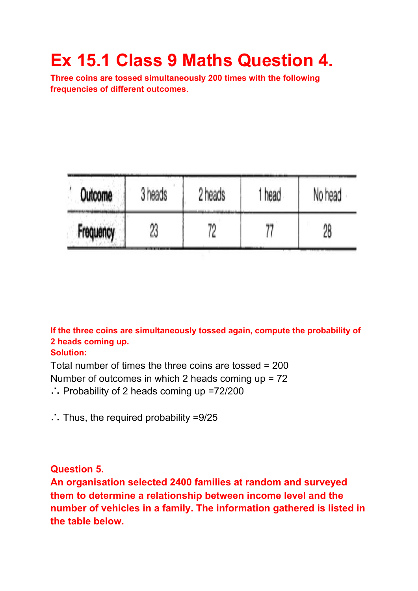# **Ex 15.1 Class 9 Maths Question 4.**

**Three coins are tossed simultaneously 200 times with the following frequencies of different outcomes**.

| Outcome   | 3 heads | 2 heads | 1 head | No head<br>28 |  |
|-----------|---------|---------|--------|---------------|--|
| Frequency | 23      |         |        |               |  |

**If the three coins are simultaneously tossed again, compute the probability of 2 heads coming up.**

#### **Solution:**

Total number of times the three coins are tossed = 200 Number of outcomes in which 2 heads coming up = 72 ∴ Probability of 2 heads coming up =72/200

∴ Thus, the required probability =9/25

**Question 5.**

**An organisation selected 2400 families at random and surveyed them to determine a relationship between income level and the number of vehicles in a family. The information gathered is listed in the table below.**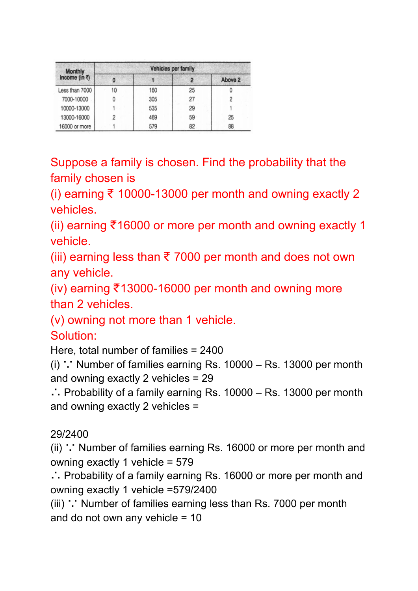| <b>Monthly</b>                  | Vehicles per family |     |    |         |  |
|---------------------------------|---------------------|-----|----|---------|--|
| income (in $\overline{\zeta}$ ) | 0                   |     |    | Above 2 |  |
| Less than 7000                  | 10                  | 160 | 25 |         |  |
| 7000-10000                      | 0                   | 305 | 27 |         |  |
| 10000-13000                     |                     | 535 | 29 |         |  |
| 13000-16000                     | 2                   | 469 | 59 | 25      |  |
| 16000 or more                   |                     |     | 82 | 88      |  |

Suppose a family is chosen. Find the probability that the family chosen is

(i) earning ₹ 10000-13000 per month and owning exactly 2 vehicles.

(ii) earning ₹16000 or more per month and owning exactly 1 vehicle.

(iii) earning less than  $\bar{\tau}$  7000 per month and does not own any vehicle.

(iv) earning ₹13000-16000 per month and owning more than 2 vehicles.

(v) owning not more than 1 vehicle.

### Solution:

Here, total number of families = 2400

(i) ∵ Number of families earning Rs. 10000 – Rs. 13000 per month and owning exactly 2 vehicles = 29

∴ Probability of a family earning Rs. 10000 – Rs. 13000 per month and owning exactly 2 vehicles =

### 29/2400

(ii) ∵ Number of families earning Rs. 16000 or more per month and owning exactly 1 vehicle = 579

∴ Probability of a family earning Rs. 16000 or more per month and owning exactly 1 vehicle =579/2400

(iii) ∵ Number of families earning less than Rs. 7000 per month and do not own any vehicle = 10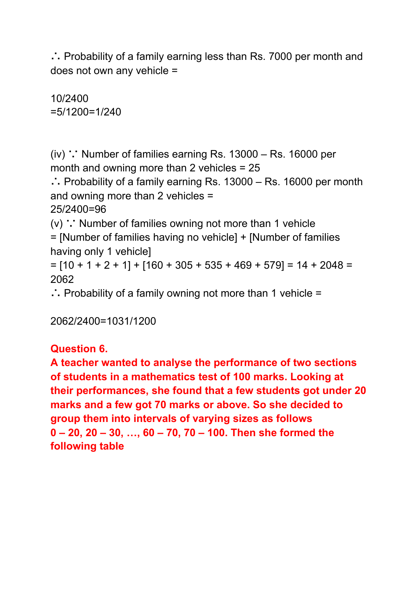∴ Probability of a family earning less than Rs. 7000 per month and does not own any vehicle =

10/2400 =5/1200=1/240

(iv) ∵ Number of families earning Rs. 13000 – Rs. 16000 per month and owning more than 2 vehicles = 25

∴ Probability of a family earning Rs. 13000 – Rs. 16000 per month and owning more than 2 vehicles =

25/2400=96

(v) ∵ Number of families owning not more than 1 vehicle = [Number of families having no vehicle] + [Number of families having only 1 vehicle]

 $=$  [10 + 1 + 2 + 1] + [160 + 305 + 535 + 469 + 579] = 14 + 2048 = 2062

∴ Probability of a family owning not more than 1 vehicle =

2062/2400=1031/1200

### **Question 6.**

**A teacher wanted to analyse the performance of two sections of students in a mathematics test of 100 marks. Looking at their performances, she found that a few students got under 20 marks and a few got 70 marks or above. So she decided to group them into intervals of varying sizes as follows 0 – 20, 20 – 30, …, 60 – 70, 70 – 100. Then she formed the following table**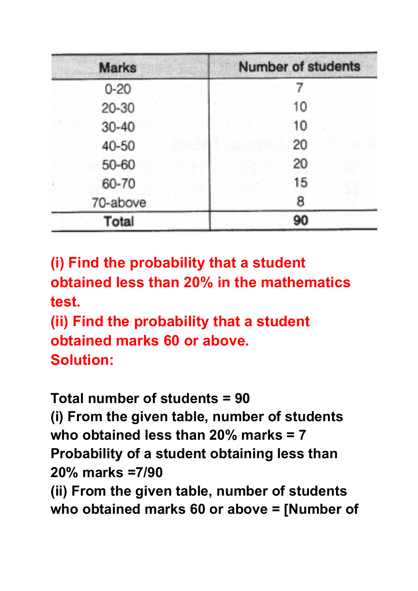| <b>Marks</b> | <b>Number of students</b> |
|--------------|---------------------------|
| $0 - 20$     |                           |
| 20-30        | 10                        |
| $30 - 40$    | 10                        |
| 40-50        | 20                        |
| 50-60        | 20                        |
| 60-70        | 15                        |
| 70-above     | 8                         |
| Total        | 90                        |

**(i) Find the probability that a student obtained less than 20% in the mathematics test.**

**(ii) Find the probability that a student obtained marks 60 or above. Solution:**

**Total number of students = 90 (i) From the given table, number of students who obtained less than 20% marks = 7 Probability of a student obtaining less than 20% marks =7/90 (ii) From the given table, number of students who obtained marks 60 or above = [Number of**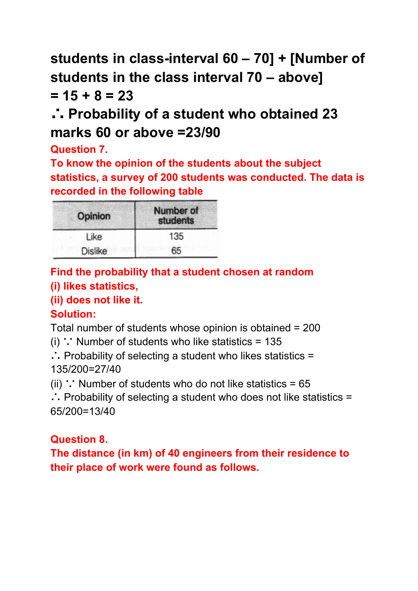**students in class-interval 60 – 70] + [Number of students in the class interval 70 – above] = 15 + 8 = 23**

## ∴ **Probability of a student who obtained 23 marks 60 or above =23/90**

**Question 7.**

**To know the opinion of the students about the subject statistics, a survey of 200 students was conducted. The data is recorded in the following table**

| The Roman of Highland<br>Opinion | <b>Number of</b><br>students |  |  |  |
|----------------------------------|------------------------------|--|--|--|
| Like                             | 135                          |  |  |  |
| Dislike                          | 65                           |  |  |  |

### **Find the probability that a student chosen at random**

### **(i) likes statistics,**

**(ii) does not like it.**

### **Solution:**

Total number of students whose opinion is obtained = 200

(i) ∵ Number of students who like statistics = 135

∴ Probability of selecting a student who likes statistics = 135/200=27/40

(ii) ∵ Number of students who do not like statistics =  $65$ 

∴ Probability of selecting a student who does not like statistics = 65/200=13/40

### **Question 8.**

**The distance (in km) of 40 engineers from their residence to their place of work were found as follows.**